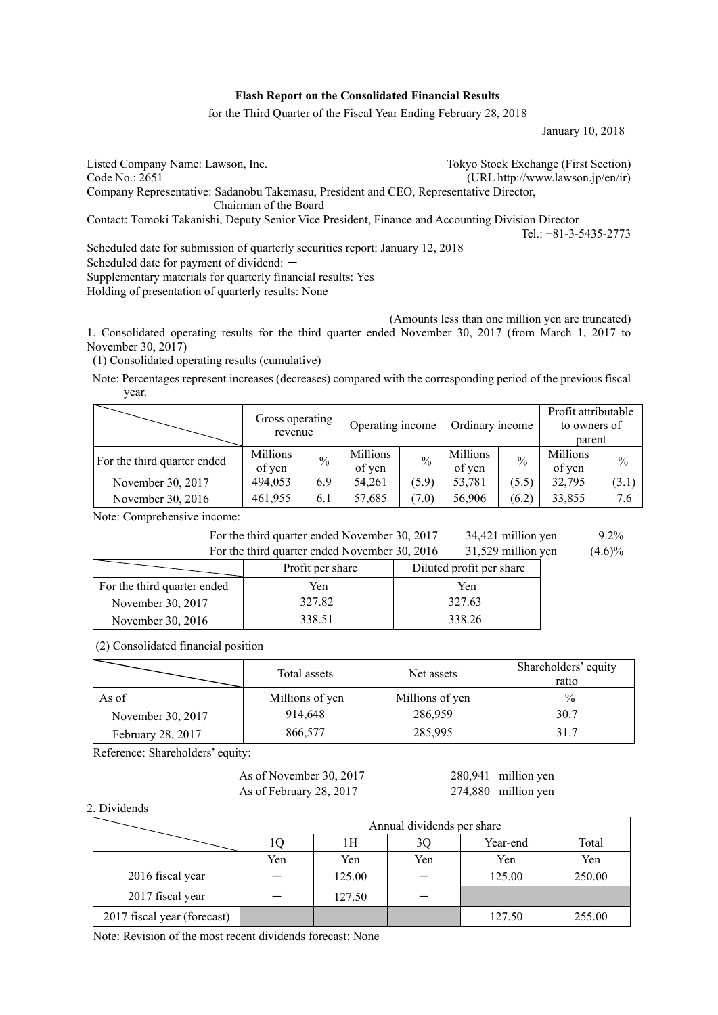### **Flash Report on the Consolidated Financial Results**

for the Third Quarter of the Fiscal Year Ending February 28, 2018

January 10, 2018

Listed Company Name: Lawson, Inc.<br>
Code No.: 2651 (URL http://www.lawson.jp/en/ir)  $(URL http://www.lawson.jp/en/ir)$ Company Representative: Sadanobu Takemasu, President and CEO, Representative Director, Chairman of the Board Contact: Tomoki Takanishi, Deputy Senior Vice President, Finance and Accounting Division Director Tel.: +81-3-5435-2773 Scheduled date for submission of quarterly securities report: January 12, 2018 Scheduled date for payment of dividend: -Supplementary materials for quarterly financial results: Yes Holding of presentation of quarterly results: None

 (Amounts less than one million yen are truncated) 1. Consolidated operating results for the third quarter ended November 30, 2017 (from March 1, 2017 to November 30, 2017)

(1) Consolidated operating results (cumulative)

Note: Percentages represent increases (decreases) compared with the corresponding period of the previous fiscal year.

|                             | Gross operating<br>revenue |               | Operating income   |               | Ordinary income    |               | Profit attributable<br>to owners of<br>parent |               |
|-----------------------------|----------------------------|---------------|--------------------|---------------|--------------------|---------------|-----------------------------------------------|---------------|
| For the third quarter ended | Millions<br>of yen         | $\frac{0}{0}$ | Millions<br>of yen | $\frac{0}{0}$ | Millions<br>of yen | $\frac{0}{0}$ | Millions<br>of yen                            | $\frac{0}{0}$ |
| November 30, 2017           | 494,053                    | 6.9           | 54,261             | (5.9)         | 53,781             | (5.5)         | 32,795                                        | (3.1)         |
| November 30, 2016           | 461,955                    | 6.1           | 57,685             | (7.0)         | 56,906             | (6.2)         | 33,855                                        | 7.6           |

Note: Comprehensive income:

| For the third quarter ended November 30, 2017 | 34,421 million yen | $9.2\%$   |
|-----------------------------------------------|--------------------|-----------|
| For the third quarter ended November 30, 2016 | 31,529 million yen | $(4.6)\%$ |

|                             | Profit per share | Diluted profit per share |
|-----------------------------|------------------|--------------------------|
| For the third quarter ended | Yen              | Yen                      |
| November 30, 2017           | 327.82           | 327.63                   |
| November 30, 2016           | 338.51           | 338.26                   |

#### (2) Consolidated financial position

|                   | Total assets    | Net assets      | Shareholders' equity<br>ratio |
|-------------------|-----------------|-----------------|-------------------------------|
| As of             | Millions of yen | Millions of yen | $\%$                          |
| November 30, 2017 | 914,648         | 286,959         | 30.7                          |
| February 28, 2017 | 866,577         | 285,995         | 31.7                          |

Reference: Shareholders' equity:

As of November 30, 2017 280,941 million yen As of February 28, 2017 274,880 million yen

## 2. Dividends

|                             | Annual dividends per share |        |     |          |        |  |  |
|-----------------------------|----------------------------|--------|-----|----------|--------|--|--|
|                             | 1Q                         | 1Н     | 3Q  | Year-end | Total  |  |  |
|                             | Yen                        | Yen    | Yen | Yen      | Yen    |  |  |
| 2016 fiscal year            |                            | 125.00 |     | 125.00   | 250.00 |  |  |
| 2017 fiscal year            |                            | 127.50 |     |          |        |  |  |
| 2017 fiscal year (forecast) |                            |        |     | 127.50   | 255.00 |  |  |

Note: Revision of the most recent dividends forecast: None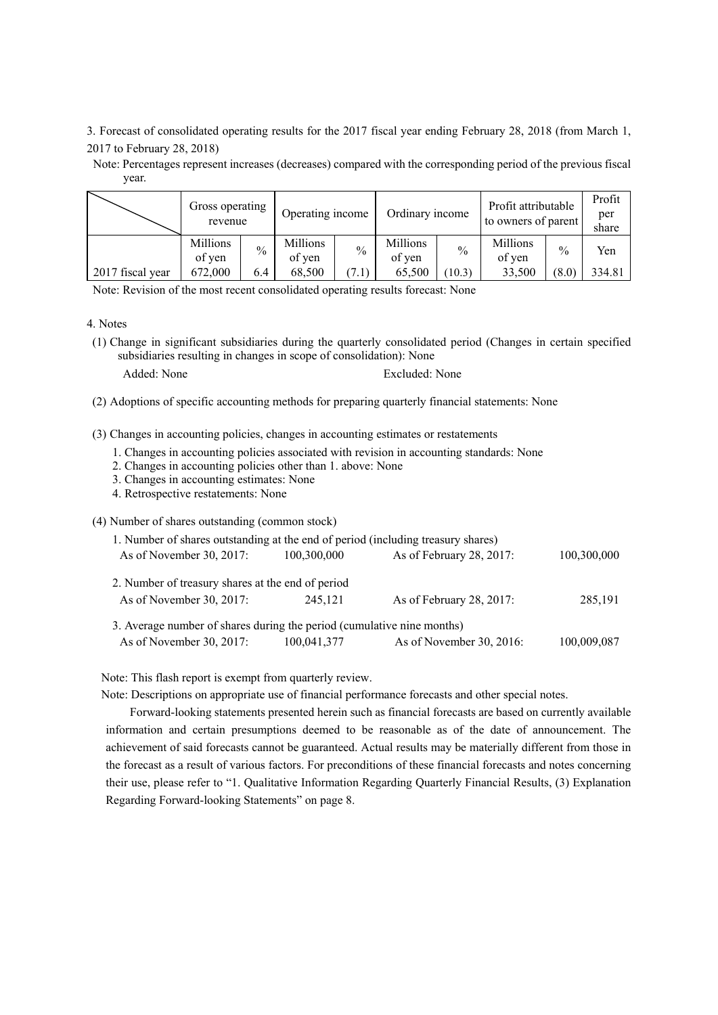3. Forecast of consolidated operating results for the 2017 fiscal year ending February 28, 2018 (from March 1, 2017 to February 28, 2018)

Note: Percentages represent increases (decreases) compared with the corresponding period of the previous fiscal year.

|                  | Gross operating<br>revenue |      | Ordinary income<br>Operating income |               | Profit attributable<br>to owners of parent |        | Profit<br>per<br>share |               |        |
|------------------|----------------------------|------|-------------------------------------|---------------|--------------------------------------------|--------|------------------------|---------------|--------|
|                  | Millions<br>of yen         | $\%$ | Millions<br>of yen                  | $\frac{0}{0}$ | Millions<br>of yen                         | $\%$   | Millions<br>of yen     | $\frac{0}{0}$ | Yen    |
| 2017 fiscal year | 672,000                    | 6.4  | 68.500                              | .1)           | 65.500                                     | (10.3) | 33,500                 | (8.0)         | 334.81 |

Note: Revision of the most recent consolidated operating results forecast: None

- 4. Notes
- (1) Change in significant subsidiaries during the quarterly consolidated period (Changes in certain specified subsidiaries resulting in changes in scope of consolidation): None
	-

Added: None Excluded: None

(2) Adoptions of specific accounting methods for preparing quarterly financial statements: None

(3) Changes in accounting policies, changes in accounting estimates or restatements

- 1. Changes in accounting policies associated with revision in accounting standards: None
- 2. Changes in accounting policies other than 1. above: None
- 3. Changes in accounting estimates: None
- 4. Retrospective restatements: None

(4) Number of shares outstanding (common stock)

| 1. Number of shares outstanding at the end of period (including treasury shares) |             |                          |             |
|----------------------------------------------------------------------------------|-------------|--------------------------|-------------|
| As of November 30, 2017:                                                         | 100,300,000 | As of February 28, 2017: | 100,300,000 |
| 2. Number of treasury shares at the end of period                                |             |                          |             |
| As of November 30, 2017:                                                         | 245.121     | As of February 28, 2017: | 285,191     |
| 3. Average number of shares during the period (cumulative nine months)           |             |                          |             |
| As of November 30, 2017:                                                         | 100,041,377 | As of November 30, 2016: | 100,009,087 |

Note: This flash report is exempt from quarterly review.

Note: Descriptions on appropriate use of financial performance forecasts and other special notes.

Forward-looking statements presented herein such as financial forecasts are based on currently available information and certain presumptions deemed to be reasonable as of the date of announcement. The achievement of said forecasts cannot be guaranteed. Actual results may be materially different from those in the forecast as a result of various factors. For preconditions of these financial forecasts and notes concerning their use, please refer to "1. Qualitative Information Regarding Quarterly Financial Results, (3) Explanation Regarding Forward-looking Statements" on page 8.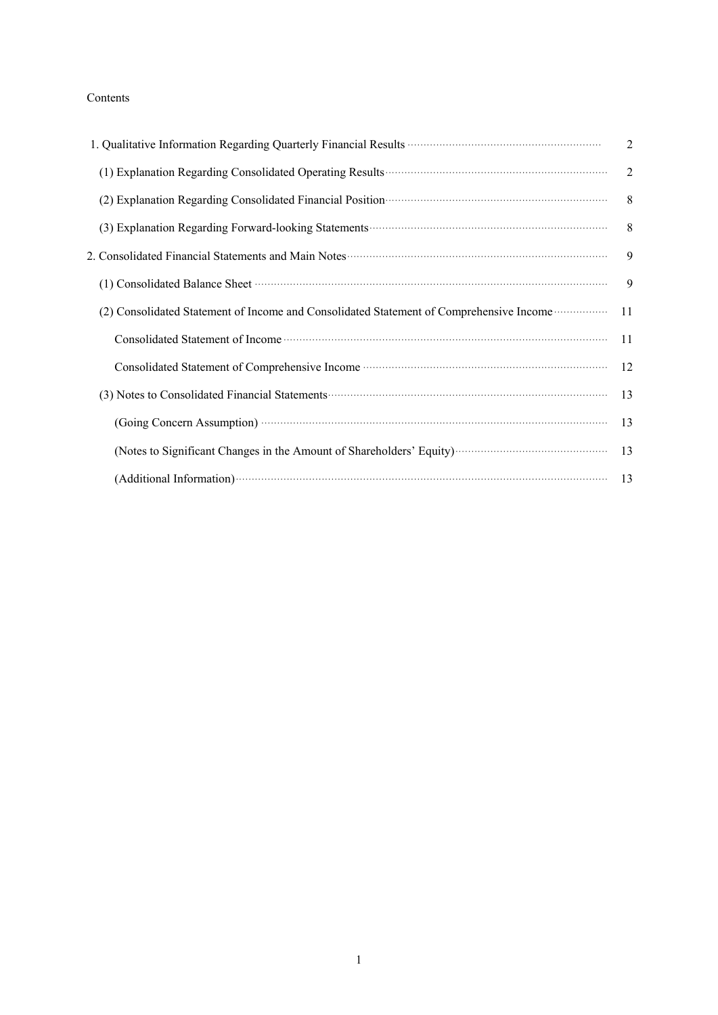# Contents

| 1. Qualitative Information Regarding Quarterly Financial Results <b>Constructs</b> Construction Construction Construction Construction Construction Construction Construction Construction Construction Construction Construction C                | $\overline{2}$ |
|----------------------------------------------------------------------------------------------------------------------------------------------------------------------------------------------------------------------------------------------------|----------------|
| (1) Explanation Regarding Consolidated Operating Results <b>Constanting Consolidated</b>                                                                                                                                                           | 2              |
| (2) Explanation Regarding Consolidated Financial Position (2) Explanation Regarding Consolidated Financial Position (3)                                                                                                                            | 8 <sup>8</sup> |
|                                                                                                                                                                                                                                                    | 8              |
| 2. Consolidated Financial Statements and Main Notes <b>Consolidated Financial Statements</b> and Main Notes <b>Consolidated</b> Financial Statements and Main Notes <b>Consolidated</b> Financial Statements and Main Notes <b>Consolidated</b> Fi |                |
| (1) Consolidated Balance Sheet manufactured and construction of the Balance Sheet manufactured and constant of                                                                                                                                     | 9              |
| (2) Consolidated Statement of Income and Consolidated Statement of Comprehensive Income <b>Consolidated</b>                                                                                                                                        | 11             |
|                                                                                                                                                                                                                                                    | 11             |
|                                                                                                                                                                                                                                                    | 12             |
| (3) Notes to Consolidated Financial Statements (2008) and the Consolidated Financial Statements (3) Notes to Consolidated Financial Statements (3)                                                                                                 | 13             |
| (Going Concern Assumption) <b>Concern Assumption</b>                                                                                                                                                                                               | 13             |
|                                                                                                                                                                                                                                                    | 13             |
| (Additional Information) (13                                                                                                                                                                                                                       |                |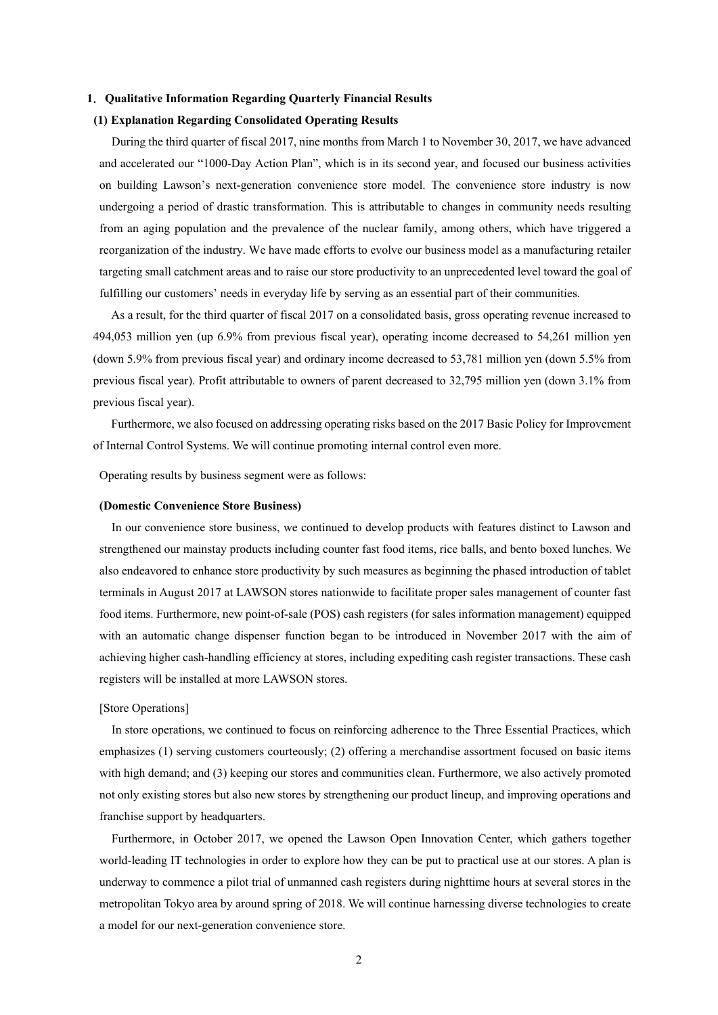## **1**.**Qualitative Information Regarding Quarterly Financial Results**

## **(1) Explanation Regarding Consolidated Operating Results**

During the third quarter of fiscal 2017, nine months from March 1 to November 30, 2017, we have advanced and accelerated our "1000-Day Action Plan", which is in its second year, and focused our business activities on building Lawson's next-generation convenience store model. The convenience store industry is now undergoing a period of drastic transformation. This is attributable to changes in community needs resulting from an aging population and the prevalence of the nuclear family, among others, which have triggered a reorganization of the industry. We have made efforts to evolve our business model as a manufacturing retailer targeting small catchment areas and to raise our store productivity to an unprecedented level toward the goal of fulfilling our customers' needs in everyday life by serving as an essential part of their communities.

As a result, for the third quarter of fiscal 2017 on a consolidated basis, gross operating revenue increased to 494,053 million yen (up 6.9% from previous fiscal year), operating income decreased to 54,261 million yen (down 5.9% from previous fiscal year) and ordinary income decreased to 53,781 million yen (down 5.5% from previous fiscal year). Profit attributable to owners of parent decreased to 32,795 million yen (down 3.1% from previous fiscal year).

Furthermore, we also focused on addressing operating risks based on the 2017 Basic Policy for Improvement of Internal Control Systems. We will continue promoting internal control even more.

Operating results by business segment were as follows:

## **(Domestic Convenience Store Business)**

In our convenience store business, we continued to develop products with features distinct to Lawson and strengthened our mainstay products including counter fast food items, rice balls, and bento boxed lunches. We also endeavored to enhance store productivity by such measures as beginning the phased introduction of tablet terminals in August 2017 at LAWSON stores nationwide to facilitate proper sales management of counter fast food items. Furthermore, new point-of-sale (POS) cash registers (for sales information management) equipped with an automatic change dispenser function began to be introduced in November 2017 with the aim of achieving higher cash-handling efficiency at stores, including expediting cash register transactions. These cash registers will be installed at more LAWSON stores.

# [Store Operations]

In store operations, we continued to focus on reinforcing adherence to the Three Essential Practices, which emphasizes (1) serving customers courteously; (2) offering a merchandise assortment focused on basic items with high demand; and (3) keeping our stores and communities clean. Furthermore, we also actively promoted not only existing stores but also new stores by strengthening our product lineup, and improving operations and franchise support by headquarters.

Furthermore, in October 2017, we opened the Lawson Open Innovation Center, which gathers together world-leading IT technologies in order to explore how they can be put to practical use at our stores. A plan is underway to commence a pilot trial of unmanned cash registers during nighttime hours at several stores in the metropolitan Tokyo area by around spring of 2018. We will continue harnessing diverse technologies to create a model for our next-generation convenience store.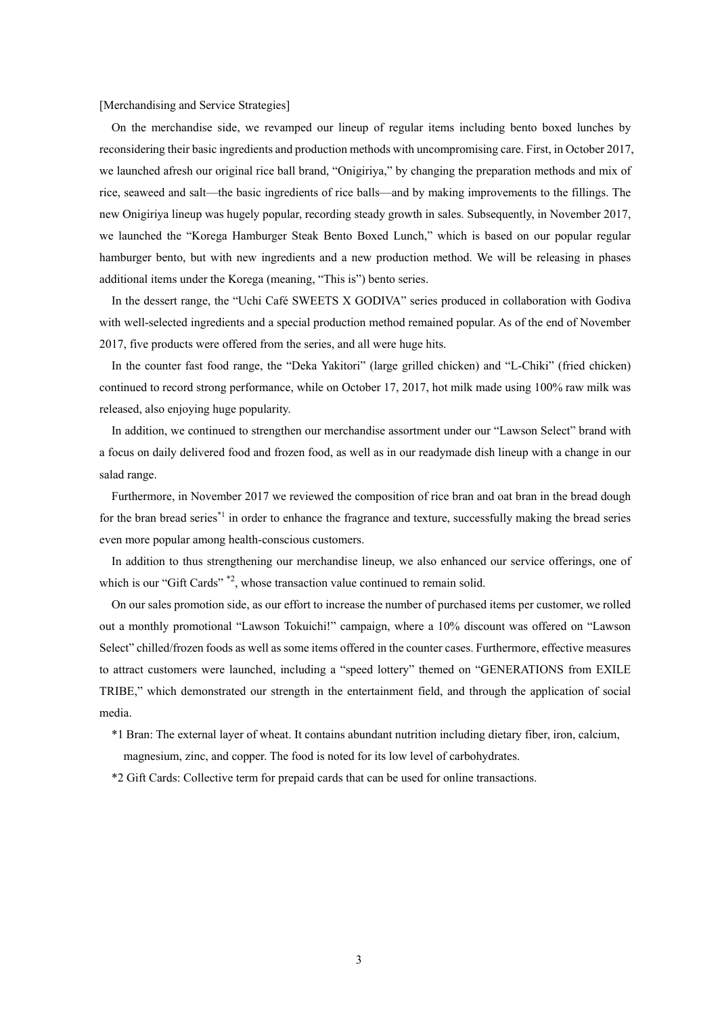[Merchandising and Service Strategies]

On the merchandise side, we revamped our lineup of regular items including bento boxed lunches by reconsidering their basic ingredients and production methods with uncompromising care. First, in October 2017, we launched afresh our original rice ball brand, "Onigiriya," by changing the preparation methods and mix of rice, seaweed and salt—the basic ingredients of rice balls—and by making improvements to the fillings. The new Onigiriya lineup was hugely popular, recording steady growth in sales. Subsequently, in November 2017, we launched the "Korega Hamburger Steak Bento Boxed Lunch," which is based on our popular regular hamburger bento, but with new ingredients and a new production method. We will be releasing in phases additional items under the Korega (meaning, "This is") bento series.

In the dessert range, the "Uchi Café SWEETS X GODIVA" series produced in collaboration with Godiva with well-selected ingredients and a special production method remained popular. As of the end of November 2017, five products were offered from the series, and all were huge hits.

In the counter fast food range, the "Deka Yakitori" (large grilled chicken) and "L-Chiki" (fried chicken) continued to record strong performance, while on October 17, 2017, hot milk made using 100% raw milk was released, also enjoying huge popularity.

In addition, we continued to strengthen our merchandise assortment under our "Lawson Select" brand with a focus on daily delivered food and frozen food, as well as in our readymade dish lineup with a change in our salad range.

Furthermore, in November 2017 we reviewed the composition of rice bran and oat bran in the bread dough for the bran bread series<sup>\*1</sup> in order to enhance the fragrance and texture, successfully making the bread series even more popular among health-conscious customers.

In addition to thus strengthening our merchandise lineup, we also enhanced our service offerings, one of which is our "Gift Cards"  $*2$ , whose transaction value continued to remain solid.

On our sales promotion side, as our effort to increase the number of purchased items per customer, we rolled out a monthly promotional "Lawson Tokuichi!" campaign, where a 10% discount was offered on "Lawson Select" chilled/frozen foods as well as some items offered in the counter cases. Furthermore, effective measures to attract customers were launched, including a "speed lottery" themed on "GENERATIONS from EXILE TRIBE," which demonstrated our strength in the entertainment field, and through the application of social media.

\*1 Bran: The external layer of wheat. It contains abundant nutrition including dietary fiber, iron, calcium, magnesium, zinc, and copper. The food is noted for its low level of carbohydrates.

\*2 Gift Cards: Collective term for prepaid cards that can be used for online transactions.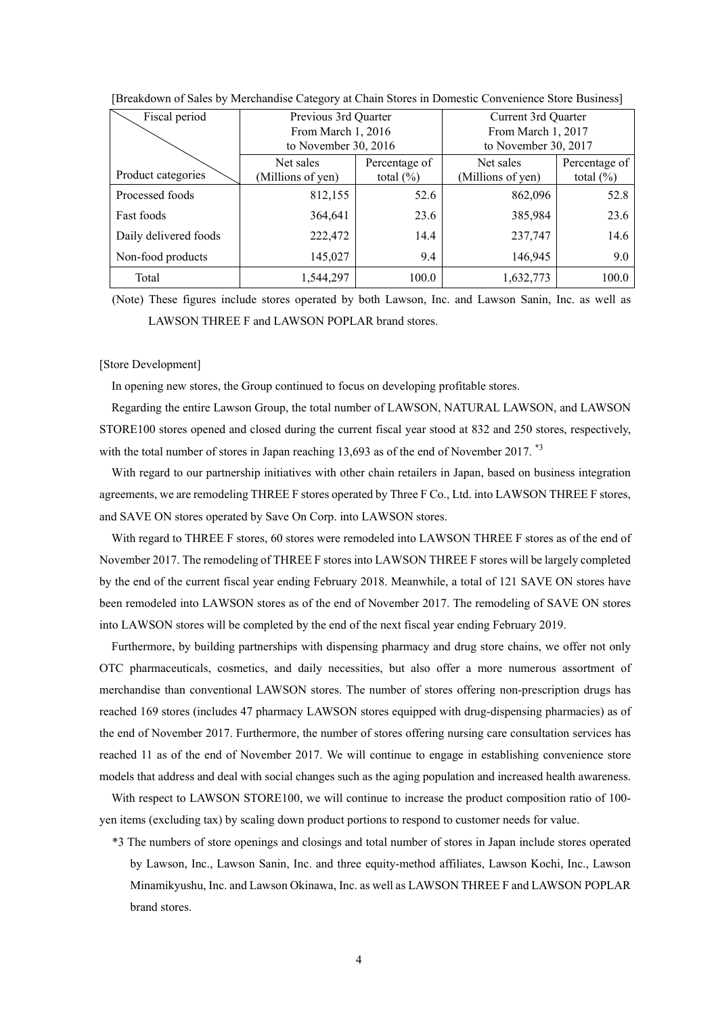| Fiscal period         | Previous 3rd Quarter<br>From March 1, 2016<br>to November 30, $2016$ |       | Current 3rd Quarter<br>From March 1, 2017<br>to November 30, 2017 |                               |  |
|-----------------------|----------------------------------------------------------------------|-------|-------------------------------------------------------------------|-------------------------------|--|
| Product categories    | Net sales<br>Percentage of<br>(Millions of yen)<br>total $(\% )$     |       | Net sales<br>(Millions of yen)                                    | Percentage of<br>total $(\%)$ |  |
| Processed foods       | 812,155                                                              | 52.6  | 862,096                                                           | 52.8                          |  |
| <b>Fast foods</b>     | 364,641                                                              | 23.6  | 385,984                                                           | 23.6                          |  |
| Daily delivered foods | 222,472                                                              | 14.4  | 237,747                                                           | 14.6                          |  |
| Non-food products     | 145,027                                                              | 9.4   | 146,945                                                           | 9.0                           |  |
| Total                 | 1,544,297                                                            | 100.0 | 1,632,773                                                         | 100.0                         |  |

[Breakdown of Sales by Merchandise Category at Chain Stores in Domestic Convenience Store Business]

(Note) These figures include stores operated by both Lawson, Inc. and Lawson Sanin, Inc. as well as LAWSON THREE F and LAWSON POPLAR brand stores.

### [Store Development]

In opening new stores, the Group continued to focus on developing profitable stores.

Regarding the entire Lawson Group, the total number of LAWSON, NATURAL LAWSON, and LAWSON STORE100 stores opened and closed during the current fiscal year stood at 832 and 250 stores, respectively, with the total number of stores in Japan reaching 13,693 as of the end of November 2017.<sup>\*3</sup>

With regard to our partnership initiatives with other chain retailers in Japan, based on business integration agreements, we are remodeling THREE F stores operated by Three F Co., Ltd. into LAWSON THREE F stores, and SAVE ON stores operated by Save On Corp. into LAWSON stores.

With regard to THREE F stores, 60 stores were remodeled into LAWSON THREE F stores as of the end of November 2017. The remodeling of THREE F stores into LAWSON THREE F stores will be largely completed by the end of the current fiscal year ending February 2018. Meanwhile, a total of 121 SAVE ON stores have been remodeled into LAWSON stores as of the end of November 2017. The remodeling of SAVE ON stores into LAWSON stores will be completed by the end of the next fiscal year ending February 2019.

Furthermore, by building partnerships with dispensing pharmacy and drug store chains, we offer not only OTC pharmaceuticals, cosmetics, and daily necessities, but also offer a more numerous assortment of merchandise than conventional LAWSON stores. The number of stores offering non-prescription drugs has reached 169 stores (includes 47 pharmacy LAWSON stores equipped with drug-dispensing pharmacies) as of the end of November 2017. Furthermore, the number of stores offering nursing care consultation services has reached 11 as of the end of November 2017. We will continue to engage in establishing convenience store models that address and deal with social changes such as the aging population and increased health awareness.

With respect to LAWSON STORE100, we will continue to increase the product composition ratio of 100yen items (excluding tax) by scaling down product portions to respond to customer needs for value.

\*3 The numbers of store openings and closings and total number of stores in Japan include stores operated by Lawson, Inc., Lawson Sanin, Inc. and three equity-method affiliates, Lawson Kochi, Inc., Lawson Minamikyushu, Inc. and Lawson Okinawa, Inc. as well as LAWSON THREE F and LAWSON POPLAR brand stores.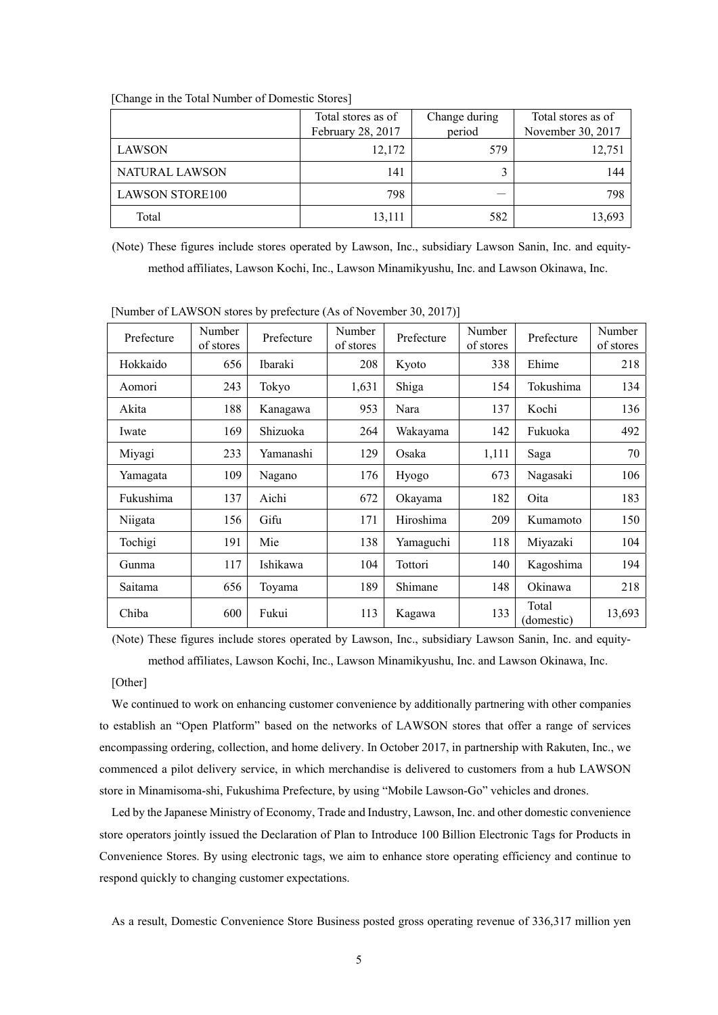|                        | Total stores as of<br>February 28, 2017 | Change during<br>period | Total stores as of<br>November 30, 2017 |
|------------------------|-----------------------------------------|-------------------------|-----------------------------------------|
| LAWSON                 | 12,172                                  | 579                     | 12,751                                  |
| NATURAL LAWSON         | 141                                     |                         | 144                                     |
| <b>LAWSON STORE100</b> | 798                                     |                         | 798                                     |
| Total                  | 13,111                                  | 582                     | 13,693                                  |

[Change in the Total Number of Domestic Stores]

(Note) These figures include stores operated by Lawson, Inc., subsidiary Lawson Sanin, Inc. and equitymethod affiliates, Lawson Kochi, Inc., Lawson Minamikyushu, Inc. and Lawson Okinawa, Inc.

| Prefecture | Number<br>of stores | Prefecture     | Number<br>of stores | Prefecture | Number<br>of stores | Prefecture          | Number<br>of stores |
|------------|---------------------|----------------|---------------------|------------|---------------------|---------------------|---------------------|
| Hokkaido   | 656                 | <b>Ibaraki</b> | 208                 | Kyoto      | 338                 | Ehime               | 218                 |
| Aomori     | 243                 | Tokyo          | 1,631               | Shiga      | 154                 | Tokushima           | 134                 |
| Akita      | 188                 | Kanagawa       | 953                 | Nara       | 137                 | Kochi               | 136                 |
| Iwate      | 169                 | Shizuoka       | 264                 | Wakayama   | 142                 | Fukuoka             | 492                 |
| Miyagi     | 233                 | Yamanashi      | 129                 | Osaka      | 1,111               | Saga                | 70                  |
| Yamagata   | 109                 | Nagano         | 176                 | Hyogo      | 673                 | Nagasaki            | 106                 |
| Fukushima  | 137                 | Aichi          | 672                 | Okayama    | 182                 | Oita                | 183                 |
| Niigata    | 156                 | Gifu           | 171                 | Hiroshima  | 209                 | Kumamoto            | 150                 |
| Tochigi    | 191                 | Mie            | 138                 | Yamaguchi  | 118                 | Miyazaki            | 104                 |
| Gunma      | 117                 | Ishikawa       | 104                 | Tottori    | 140                 | Kagoshima           | 194                 |
| Saitama    | 656                 | Toyama         | 189                 | Shimane    | 148                 | Okinawa             | 218                 |
| Chiba      | 600                 | Fukui          | 113                 | Kagawa     | 133                 | Total<br>(domestic) | 13,693              |

[Number of LAWSON stores by prefecture (As of November 30, 2017)]

(Note) These figures include stores operated by Lawson, Inc., subsidiary Lawson Sanin, Inc. and equitymethod affiliates, Lawson Kochi, Inc., Lawson Minamikyushu, Inc. and Lawson Okinawa, Inc.

#### [Other]

We continued to work on enhancing customer convenience by additionally partnering with other companies to establish an "Open Platform" based on the networks of LAWSON stores that offer a range of services encompassing ordering, collection, and home delivery. In October 2017, in partnership with Rakuten, Inc., we commenced a pilot delivery service, in which merchandise is delivered to customers from a hub LAWSON store in Minamisoma-shi, Fukushima Prefecture, by using "Mobile Lawson-Go" vehicles and drones.

Led by the Japanese Ministry of Economy, Trade and Industry, Lawson, Inc. and other domestic convenience store operators jointly issued the Declaration of Plan to Introduce 100 Billion Electronic Tags for Products in Convenience Stores. By using electronic tags, we aim to enhance store operating efficiency and continue to respond quickly to changing customer expectations.

As a result, Domestic Convenience Store Business posted gross operating revenue of 336,317 million yen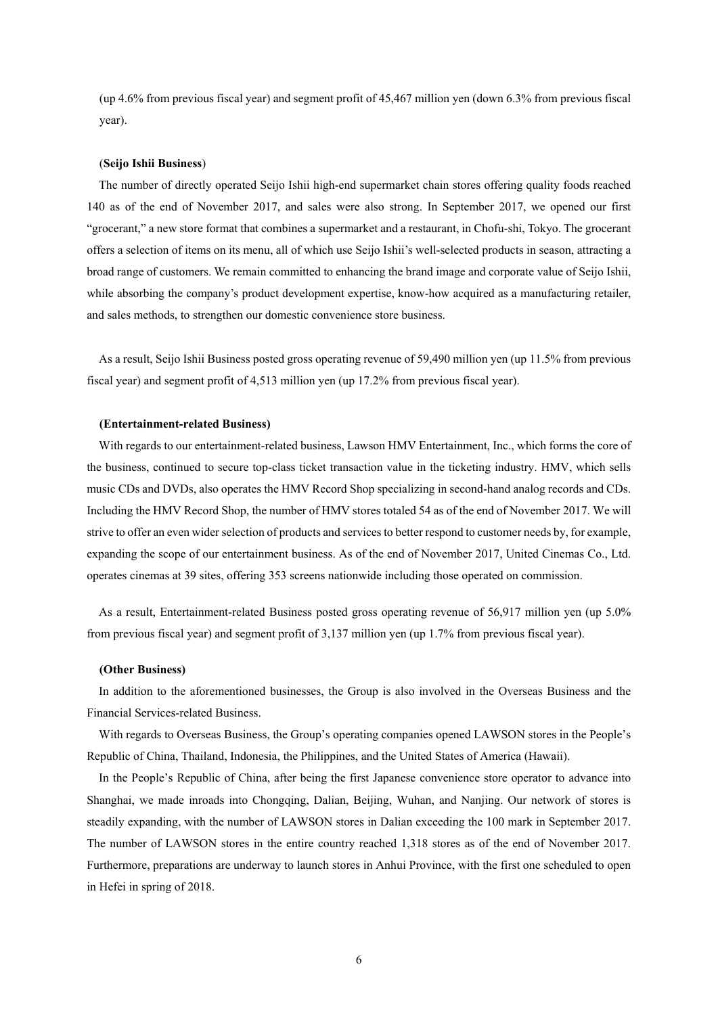(up 4.6% from previous fiscal year) and segment profit of 45,467 million yen (down 6.3% from previous fiscal year).

#### (**Seijo Ishii Business**)

The number of directly operated Seijo Ishii high-end supermarket chain stores offering quality foods reached 140 as of the end of November 2017, and sales were also strong. In September 2017, we opened our first "grocerant," a new store format that combines a supermarket and a restaurant, in Chofu-shi, Tokyo. The grocerant offers a selection of items on its menu, all of which use Seijo Ishii's well-selected products in season, attracting a broad range of customers. We remain committed to enhancing the brand image and corporate value of Seijo Ishii, while absorbing the company's product development expertise, know-how acquired as a manufacturing retailer, and sales methods, to strengthen our domestic convenience store business.

As a result, Seijo Ishii Business posted gross operating revenue of 59,490 million yen (up 11.5% from previous fiscal year) and segment profit of 4,513 million yen (up 17.2% from previous fiscal year).

#### **(Entertainment-related Business)**

With regards to our entertainment-related business, Lawson HMV Entertainment, Inc., which forms the core of the business, continued to secure top-class ticket transaction value in the ticketing industry. HMV, which sells music CDs and DVDs, also operates the HMV Record Shop specializing in second-hand analog records and CDs. Including the HMV Record Shop, the number of HMV stores totaled 54 as of the end of November 2017. We will strive to offer an even wider selection of products and services to better respond to customer needs by, for example, expanding the scope of our entertainment business. As of the end of November 2017, United Cinemas Co., Ltd. operates cinemas at 39 sites, offering 353 screens nationwide including those operated on commission.

As a result, Entertainment-related Business posted gross operating revenue of 56,917 million yen (up 5.0% from previous fiscal year) and segment profit of 3,137 million yen (up 1.7% from previous fiscal year).

#### **(Other Business)**

In addition to the aforementioned businesses, the Group is also involved in the Overseas Business and the Financial Services-related Business.

With regards to Overseas Business, the Group's operating companies opened LAWSON stores in the People's Republic of China, Thailand, Indonesia, the Philippines, and the United States of America (Hawaii).

In the People's Republic of China, after being the first Japanese convenience store operator to advance into Shanghai, we made inroads into Chongqing, Dalian, Beijing, Wuhan, and Nanjing. Our network of stores is steadily expanding, with the number of LAWSON stores in Dalian exceeding the 100 mark in September 2017. The number of LAWSON stores in the entire country reached 1,318 stores as of the end of November 2017. Furthermore, preparations are underway to launch stores in Anhui Province, with the first one scheduled to open in Hefei in spring of 2018.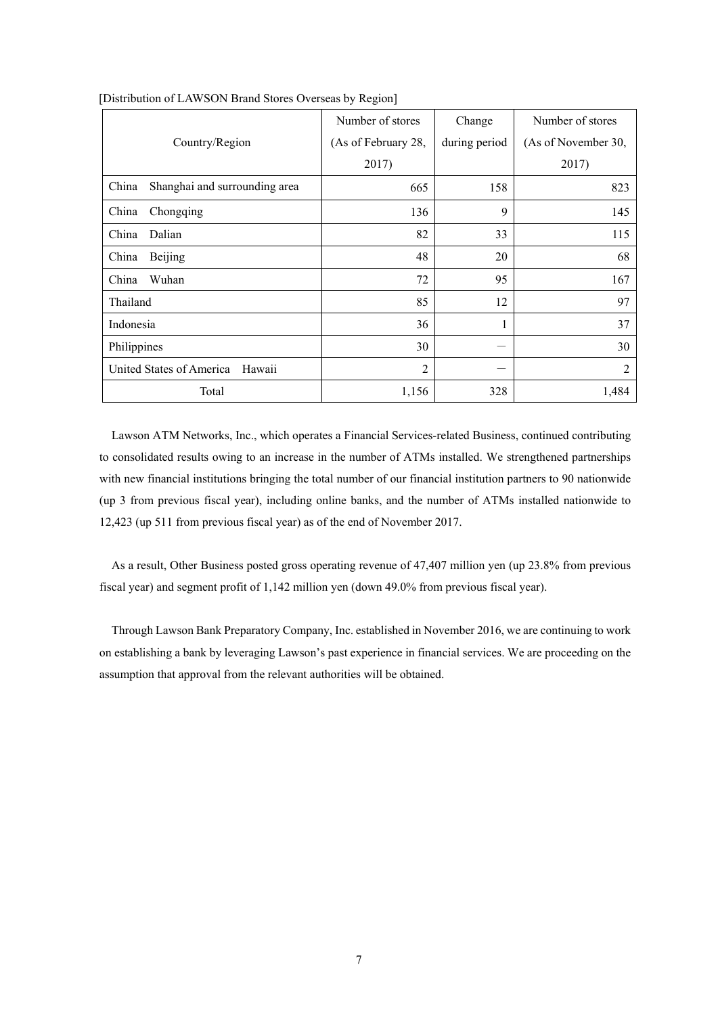|                                        | Number of stores    | Change        | Number of stores    |
|----------------------------------------|---------------------|---------------|---------------------|
| Country/Region                         | (As of February 28, | during period | (As of November 30, |
|                                        | 2017)               |               | 2017)               |
| China<br>Shanghai and surrounding area | 665                 | 158           | 823                 |
| China<br>Chongqing                     | 136                 | 9             | 145                 |
| China<br>Dalian                        | 82                  | 33            | 115                 |
| China<br>Beijing                       | 48                  | 20            | 68                  |
| Wuhan<br>China                         | 72                  | 95            | 167                 |
| Thailand                               | 85                  | 12            | 97                  |
| Indonesia                              | 36                  | $\mathbf{1}$  | 37                  |
| Philippines                            | 30                  |               | 30                  |
| United States of America<br>Hawaii     | $\overline{2}$      |               | $\overline{2}$      |
| Total                                  | 1,156               | 328           | 1,484               |

[Distribution of LAWSON Brand Stores Overseas by Region]

Lawson ATM Networks, Inc., which operates a Financial Services-related Business, continued contributing to consolidated results owing to an increase in the number of ATMs installed. We strengthened partnerships with new financial institutions bringing the total number of our financial institution partners to 90 nationwide (up 3 from previous fiscal year), including online banks, and the number of ATMs installed nationwide to 12,423 (up 511 from previous fiscal year) as of the end of November 2017.

As a result, Other Business posted gross operating revenue of 47,407 million yen (up 23.8% from previous fiscal year) and segment profit of 1,142 million yen (down 49.0% from previous fiscal year).

Through Lawson Bank Preparatory Company, Inc. established in November 2016, we are continuing to work on establishing a bank by leveraging Lawson's past experience in financial services. We are proceeding on the assumption that approval from the relevant authorities will be obtained.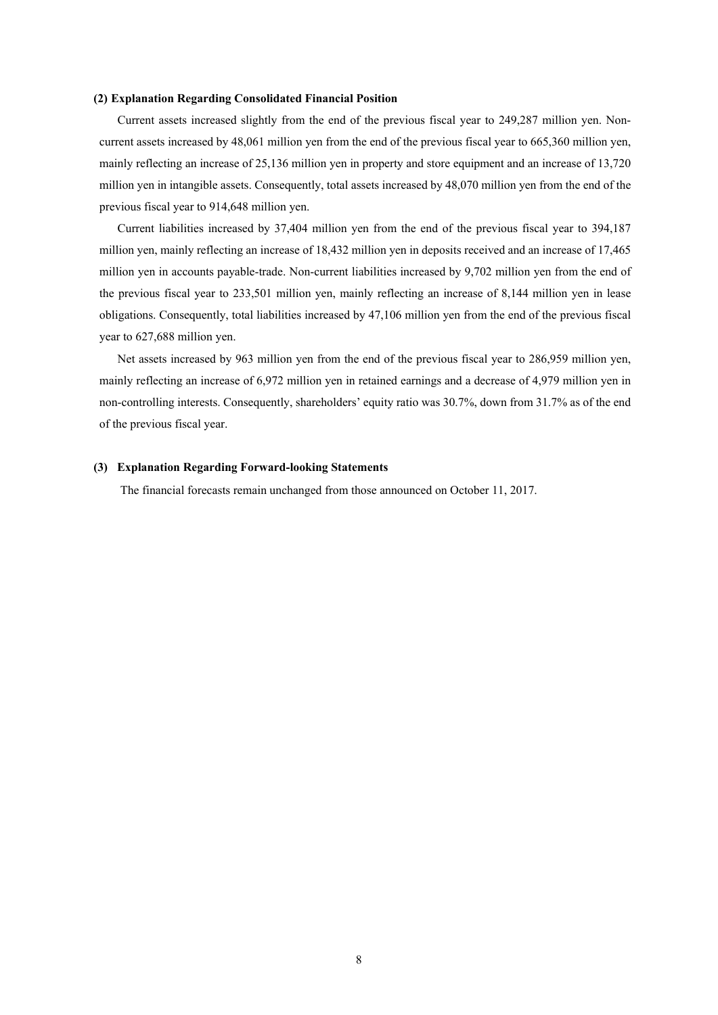#### **(2) Explanation Regarding Consolidated Financial Position**

Current assets increased slightly from the end of the previous fiscal year to 249,287 million yen. Noncurrent assets increased by 48,061 million yen from the end of the previous fiscal year to 665,360 million yen, mainly reflecting an increase of 25,136 million yen in property and store equipment and an increase of 13,720 million yen in intangible assets. Consequently, total assets increased by 48,070 million yen from the end of the previous fiscal year to 914,648 million yen.

Current liabilities increased by 37,404 million yen from the end of the previous fiscal year to 394,187 million yen, mainly reflecting an increase of 18,432 million yen in deposits received and an increase of 17,465 million yen in accounts payable-trade. Non-current liabilities increased by 9,702 million yen from the end of the previous fiscal year to 233,501 million yen, mainly reflecting an increase of 8,144 million yen in lease obligations. Consequently, total liabilities increased by 47,106 million yen from the end of the previous fiscal year to 627,688 million yen.

Net assets increased by 963 million yen from the end of the previous fiscal year to 286,959 million yen, mainly reflecting an increase of 6,972 million yen in retained earnings and a decrease of 4,979 million yen in non-controlling interests. Consequently, shareholders' equity ratio was 30.7%, down from 31.7% as of the end of the previous fiscal year.

## **(3) Explanation Regarding Forward-looking Statements**

The financial forecasts remain unchanged from those announced on October 11, 2017.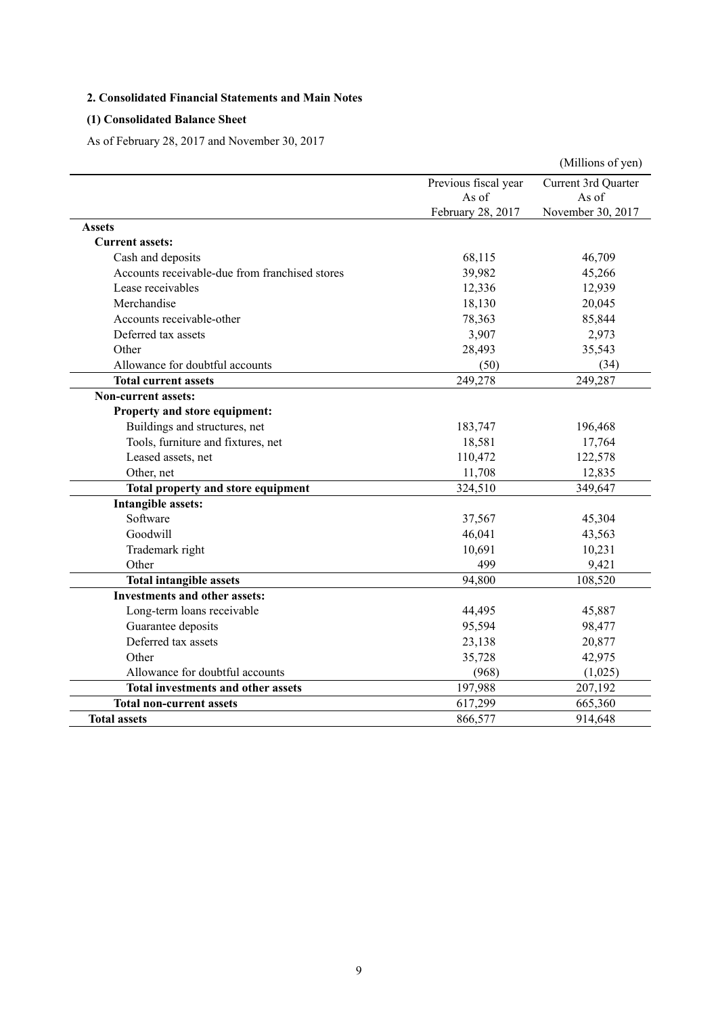# **2. Consolidated Financial Statements and Main Notes**

# **(1) Consolidated Balance Sheet**

As of February 28, 2017 and November 30, 2017

|                                                |                      | (Millions of yen)   |
|------------------------------------------------|----------------------|---------------------|
|                                                | Previous fiscal year | Current 3rd Quarter |
|                                                | As of                | As of               |
|                                                | February 28, 2017    | November 30, 2017   |
| <b>Assets</b>                                  |                      |                     |
| <b>Current assets:</b>                         |                      |                     |
| Cash and deposits                              | 68,115               | 46,709              |
| Accounts receivable-due from franchised stores | 39,982               | 45,266              |
| Lease receivables                              | 12,336               | 12,939              |
| Merchandise                                    | 18,130               | 20,045              |
| Accounts receivable-other                      | 78,363               | 85,844              |
| Deferred tax assets                            | 3,907                | 2,973               |
| Other                                          | 28,493               | 35,543              |
| Allowance for doubtful accounts                | (50)                 | (34)                |
| <b>Total current assets</b>                    | 249,278              | 249,287             |
| <b>Non-current assets:</b>                     |                      |                     |
| Property and store equipment:                  |                      |                     |
| Buildings and structures, net                  | 183,747              | 196,468             |
| Tools, furniture and fixtures, net             | 18,581               | 17,764              |
| Leased assets, net                             | 110,472              | 122,578             |
| Other, net                                     | 11,708               | 12,835              |
| Total property and store equipment             | 324,510              | 349,647             |
| Intangible assets:                             |                      |                     |
| Software                                       | 37,567               | 45,304              |
| Goodwill                                       | 46,041               | 43,563              |
| Trademark right                                | 10,691               | 10,231              |
| Other                                          | 499                  | 9,421               |
| <b>Total intangible assets</b>                 | 94,800               | 108,520             |
| <b>Investments and other assets:</b>           |                      |                     |
| Long-term loans receivable                     | 44,495               | 45,887              |
| Guarantee deposits                             | 95,594               | 98,477              |
| Deferred tax assets                            | 23,138               | 20,877              |
| Other                                          | 35,728               | 42,975              |
| Allowance for doubtful accounts                | (968)                | (1,025)             |
| <b>Total investments and other assets</b>      | 197,988              | 207,192             |
| <b>Total non-current assets</b>                | 617,299              | 665,360             |
| <b>Total assets</b>                            | 866,577              | 914,648             |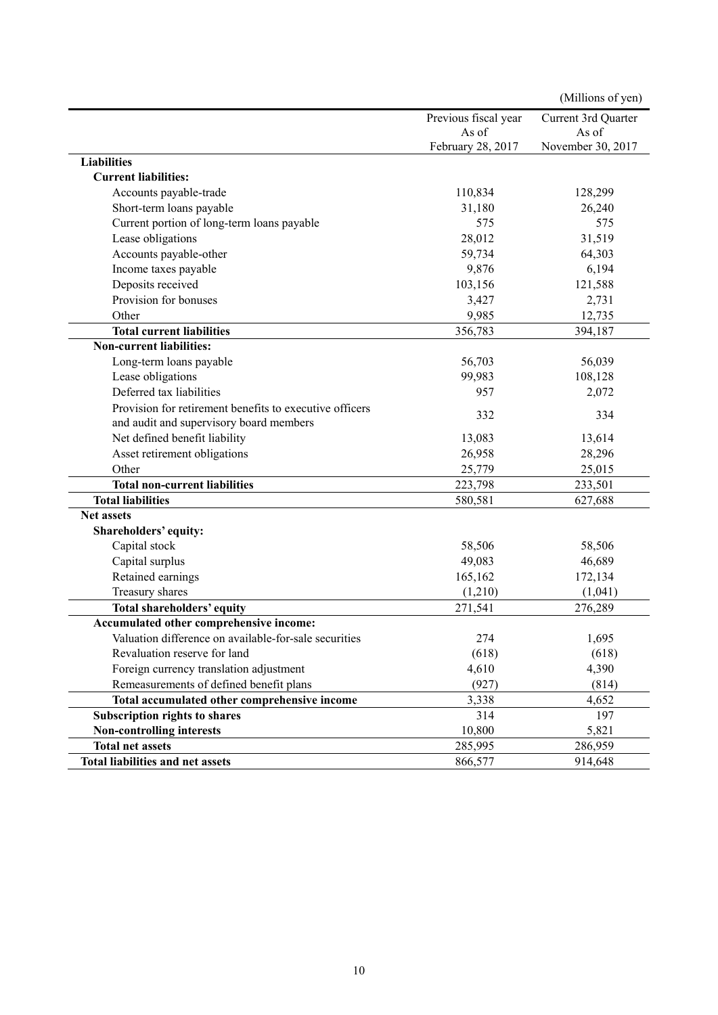|                                                         |                      | (Millions of yen)   |
|---------------------------------------------------------|----------------------|---------------------|
|                                                         | Previous fiscal year | Current 3rd Quarter |
|                                                         | As of                | As of               |
|                                                         | February 28, 2017    | November 30, 2017   |
| <b>Liabilities</b>                                      |                      |                     |
| <b>Current liabilities:</b>                             |                      |                     |
| Accounts payable-trade                                  | 110,834              | 128,299             |
| Short-term loans payable                                | 31,180               | 26,240              |
| Current portion of long-term loans payable              | 575                  | 575                 |
| Lease obligations                                       | 28,012               | 31,519              |
| Accounts payable-other                                  | 59,734               | 64,303              |
| Income taxes payable                                    | 9,876                | 6,194               |
| Deposits received                                       | 103,156              | 121,588             |
| Provision for bonuses                                   | 3,427                | 2,731               |
| Other                                                   | 9,985                | 12,735              |
| <b>Total current liabilities</b>                        | 356,783              | 394,187             |
| <b>Non-current liabilities:</b>                         |                      |                     |
| Long-term loans payable                                 | 56,703               | 56,039              |
| Lease obligations                                       | 99,983               | 108,128             |
| Deferred tax liabilities                                | 957                  | 2,072               |
| Provision for retirement benefits to executive officers |                      |                     |
| and audit and supervisory board members                 | 332                  | 334                 |
| Net defined benefit liability                           | 13,083               | 13,614              |
| Asset retirement obligations                            | 26,958               | 28,296              |
| Other                                                   | 25,779               | 25,015              |
| <b>Total non-current liabilities</b>                    | 223,798              | 233,501             |
| <b>Total liabilities</b>                                | 580,581              | 627,688             |
| <b>Net assets</b>                                       |                      |                     |
| Shareholders' equity:                                   |                      |                     |
| Capital stock                                           | 58,506               | 58,506              |
| Capital surplus                                         | 49,083               | 46,689              |
| Retained earnings                                       | 165,162              | 172,134             |
| Treasury shares                                         | (1,210)              | (1,041)             |
| <b>Total shareholders' equity</b>                       | 271,541              | 276,289             |
| Accumulated other comprehensive income:                 |                      |                     |
| Valuation difference on available-for-sale securities   | 274                  | 1,695               |
| Revaluation reserve for land                            | (618)                | (618)               |
| Foreign currency translation adjustment                 | 4,610                | 4,390               |
| Remeasurements of defined benefit plans                 | (927)                | (814)               |
| Total accumulated other comprehensive income            | 3,338                | 4,652               |
| Subscription rights to shares                           | 314                  | 197                 |
| <b>Non-controlling interests</b>                        | 10,800               | 5,821               |
| <b>Total net assets</b>                                 | 285,995              | 286,959             |
| Total liabilities and net assets                        | 866,577              | 914,648             |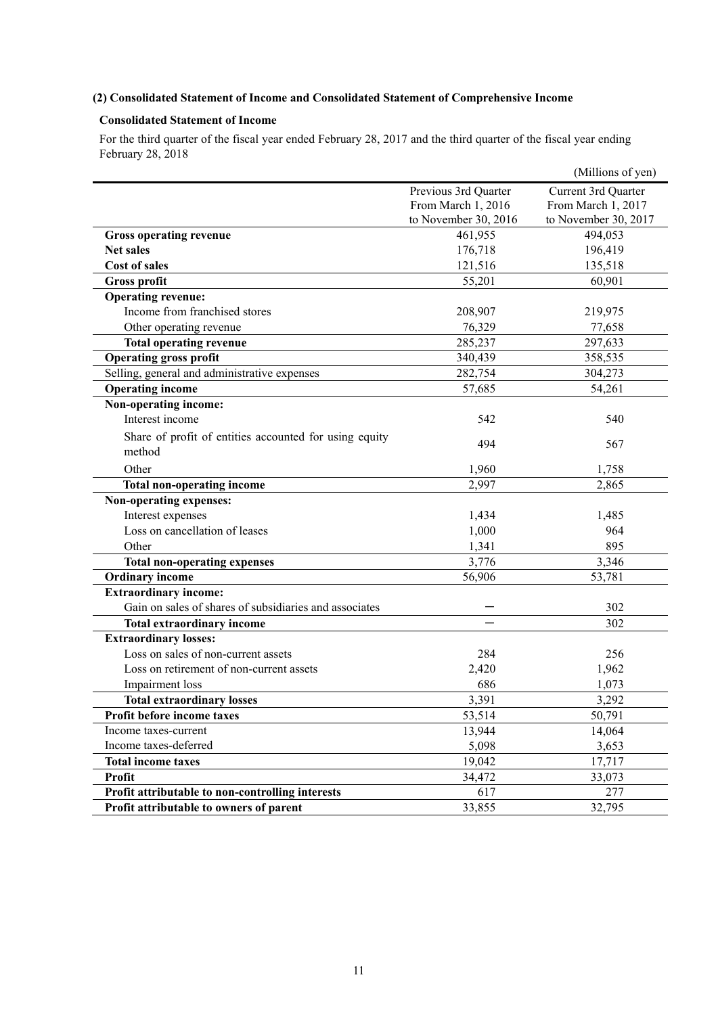# **(2) Consolidated Statement of Income and Consolidated Statement of Comprehensive Income**

# **Consolidated Statement of Income**

For the third quarter of the fiscal year ended February 28, 2017 and the third quarter of the fiscal year ending February 28, 2018

|                                                                  |                      | (Millions of yen)    |
|------------------------------------------------------------------|----------------------|----------------------|
|                                                                  | Previous 3rd Quarter | Current 3rd Quarter  |
|                                                                  | From March 1, 2016   | From March 1, 2017   |
|                                                                  | to November 30, 2016 | to November 30, 2017 |
| <b>Gross operating revenue</b>                                   | 461,955              | 494,053              |
| <b>Net sales</b>                                                 | 176,718              | 196,419              |
| <b>Cost of sales</b>                                             | 121,516              | 135,518              |
| <b>Gross profit</b>                                              | 55,201               | 60,901               |
| <b>Operating revenue:</b>                                        |                      |                      |
| Income from franchised stores                                    | 208,907              | 219,975              |
| Other operating revenue                                          | 76,329               | 77,658               |
| <b>Total operating revenue</b>                                   | 285,237              | 297,633              |
| <b>Operating gross profit</b>                                    | 340,439              | 358,535              |
| Selling, general and administrative expenses                     | 282,754              | 304,273              |
| <b>Operating income</b>                                          | 57,685               | 54,261               |
| Non-operating income:                                            |                      |                      |
| Interest income                                                  | 542                  | 540                  |
| Share of profit of entities accounted for using equity<br>method | 494                  | 567                  |
| Other                                                            | 1,960                | 1,758                |
| Total non-operating income                                       | 2,997                | 2,865                |
| Non-operating expenses:                                          |                      |                      |
| Interest expenses                                                | 1,434                | 1,485                |
| Loss on cancellation of leases                                   | 1,000                | 964                  |
| Other                                                            | 1,341                | 895                  |
| <b>Total non-operating expenses</b>                              | 3,776                | 3,346                |
| <b>Ordinary income</b>                                           | 56,906               | 53,781               |
| <b>Extraordinary income:</b>                                     |                      |                      |
| Gain on sales of shares of subsidiaries and associates           |                      | 302                  |
| <b>Total extraordinary income</b>                                |                      | 302                  |
| <b>Extraordinary losses:</b>                                     |                      |                      |
| Loss on sales of non-current assets                              | 284                  | 256                  |
| Loss on retirement of non-current assets                         | 2,420                | 1,962                |
| Impairment loss                                                  | 686                  | 1,073                |
| <b>Total extraordinary losses</b>                                | 3,391                | 3,292                |
| Profit before income taxes                                       | 53,514               | 50,791               |
| Income taxes-current                                             | 13,944               | 14,064               |
| Income taxes-deferred                                            | 5,098                | 3,653                |
| <b>Total income taxes</b>                                        | 19,042               | 17,717               |
| <b>Profit</b>                                                    | 34,472               | 33,073               |
| Profit attributable to non-controlling interests                 | 617                  | 277                  |
| Profit attributable to owners of parent                          | 33,855               | 32,795               |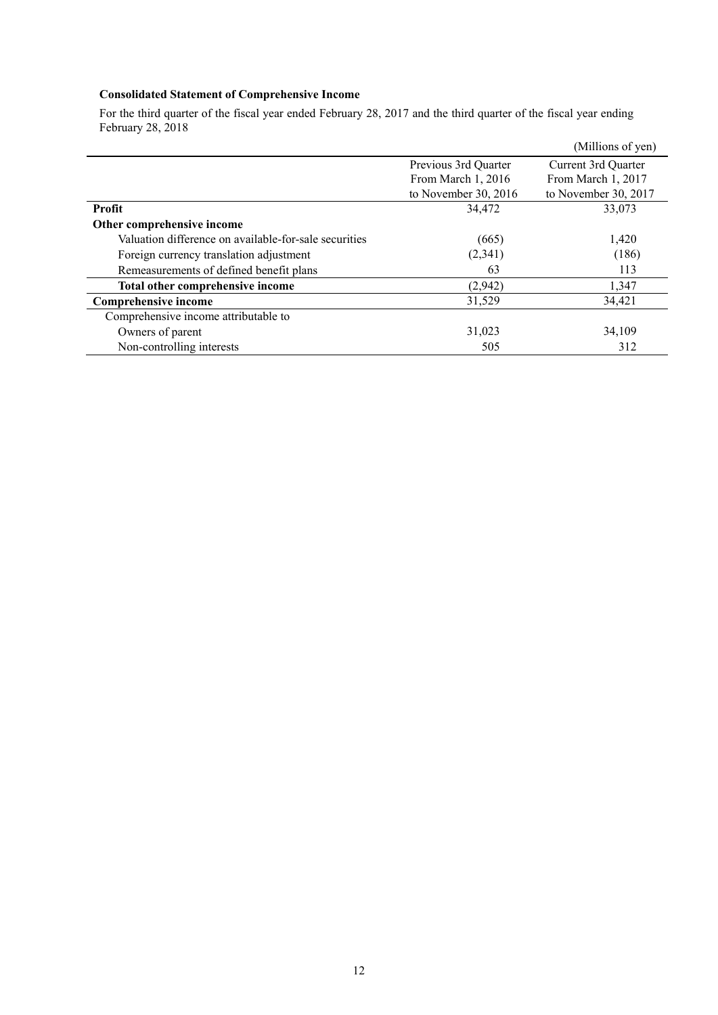# **Consolidated Statement of Comprehensive Income**

For the third quarter of the fiscal year ended February 28, 2017 and the third quarter of the fiscal year ending February 28, 2018

|                                                       |                        | (Millions of yen)    |
|-------------------------------------------------------|------------------------|----------------------|
|                                                       | Previous 3rd Quarter   | Current 3rd Quarter  |
|                                                       | From March 1, 2016     | From March 1, 2017   |
|                                                       | to November 30, $2016$ | to November 30, 2017 |
| Profit                                                | 34,472                 | 33,073               |
| Other comprehensive income                            |                        |                      |
| Valuation difference on available-for-sale securities | (665)                  | 1,420                |
| Foreign currency translation adjustment               | (2,341)                | (186)                |
| Remeasurements of defined benefit plans               | 63                     | 113                  |
| Total other comprehensive income                      | (2,942)                | 1,347                |
| <b>Comprehensive income</b>                           | 31,529                 | 34,421               |
| Comprehensive income attributable to                  |                        |                      |
| Owners of parent                                      | 31,023                 | 34,109               |
| Non-controlling interests                             | 505                    | 312                  |